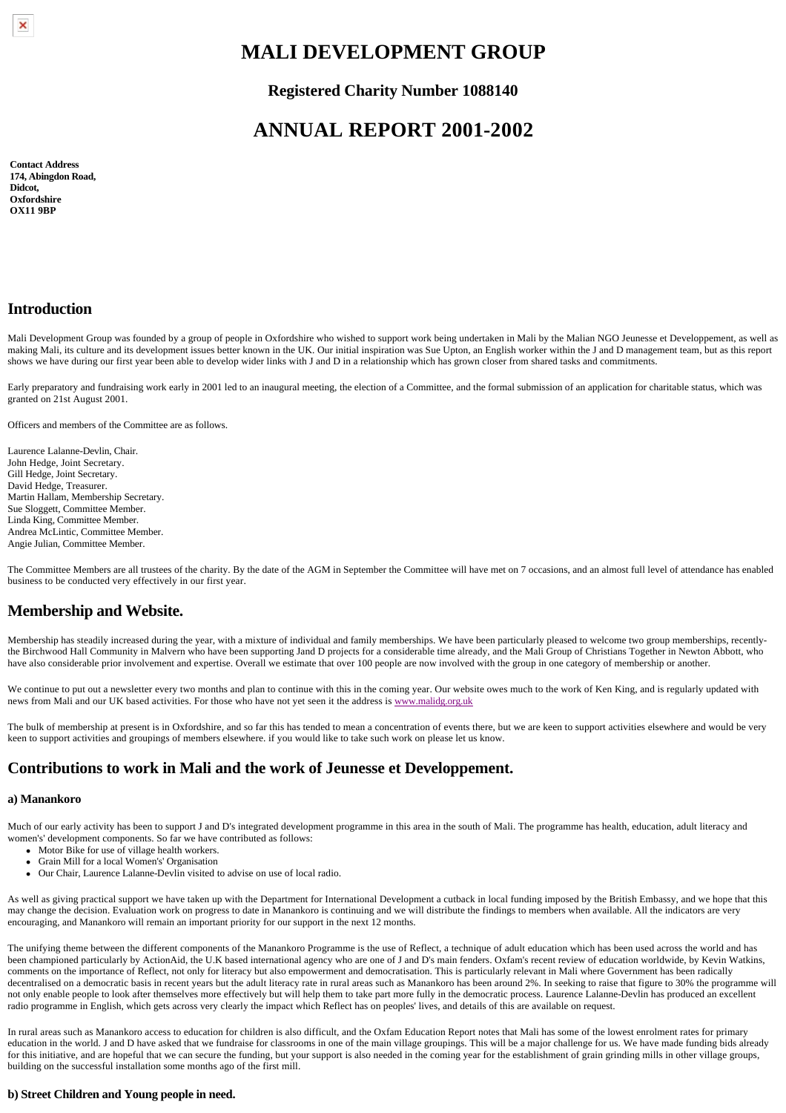# **MALI DEVELOPMENT GROUP**

**Registered Charity Number 1088140**

# **ANNUAL REPORT 2001-2002**

**Contact Address 174, Abingdon Road, Didcot, Oxfordshire OX11 9BP**

## **Introduction**

Mali Development Group was founded by a group of people in Oxfordshire who wished to support work being undertaken in Mali by the Malian NGO Jeunesse et Developpement, as well as making Mali, its culture and its development issues better known in the UK. Our initial inspiration was Sue Upton, an English worker within the J and D management team, but as this report shows we have during our first year been able to develop wider links with J and D in a relationship which has grown closer from shared tasks and commitments.

Early preparatory and fundraising work early in 2001 led to an inaugural meeting, the election of a Committee, and the formal submission of an application for charitable status, which was granted on 21st August 2001.

Officers and members of the Committee are as follows.

Laurence Lalanne-Devlin, Chair. John Hedge, Joint Secretary. Gill Hedge, Joint Secretary. David Hedge, Treasurer. Martin Hallam, Membership Secretary. Sue Sloggett, Committee Member. Linda King, Committee Member. Andrea McLintic, Committee Member. Angie Julian, Committee Member.

The Committee Members are all trustees of the charity. By the date of the AGM in September the Committee will have met on 7 occasions, and an almost full level of attendance has enabled business to be conducted very effectively in our first year.

## **Membership and Website.**

Membership has steadily increased during the year, with a mixture of individual and family memberships. We have been particularly pleased to welcome two group memberships, recentlythe Birchwood Hall Community in Malvern who have been supporting Jand D projects for a considerable time already, and the Mali Group of Christians Together in Newton Abbott, who have also considerable prior involvement and expertise. Overall we estimate that over 100 people are now involved with the group in one category of membership or another.

We continue to put out a newsletter every two months and plan to continue with this in the coming year. Our website owes much to the work of Ken King, and is regularly updated with news from Mali and our UK based activities. For those who have not yet seen it the address is [www.malidg.org.uk](http://www.malidg.org.uk/)

The bulk of membership at present is in Oxfordshire, and so far this has tended to mean a concentration of events there, but we are keen to support activities elsewhere and would be very keen to support activities and groupings of members elsewhere. if you would like to take such work on please let us know.

## **Contributions to work in Mali and the work of Jeunesse et Developpement.**

#### **a) Manankoro**

Much of our early activity has been to support J and D's integrated development programme in this area in the south of Mali. The programme has health, education, adult literacy and women's' development components. So far we have contributed as follows:

- Motor Bike for use of village health workers.
- <sup>l</sup> Grain Mill for a local Women's' Organisation
- Our Chair, Laurence Lalanne-Devlin visited to advise on use of local radio.

As well as giving practical support we have taken up with the Department for International Development a cutback in local funding imposed by the British Embassy, and we hope that this may change the decision. Evaluation work on progress to date in Manankoro is continuing and we will distribute the findings to members when available. All the indicators are very encouraging, and Manankoro will remain an important priority for our support in the next 12 months.

The unifying theme between the different components of the Manankoro Programme is the use of Reflect, a technique of adult education which has been used across the world and has been championed particularly by ActionAid, the U.K based international agency who are one of J and D's main fenders. Oxfam's recent review of education worldwide, by Kevin Watkins, comments on the importance of Reflect, not only for literacy but also empowerment and democratisation. This is particularly relevant in Mali where Government has been radically decentralised on a democratic basis in recent years but the adult literacy rate in rural areas such as Manankoro has been around 2%. In seeking to raise that figure to 30% the programme will not only enable people to look after themselves more effectively but will help them to take part more fully in the democratic process. Laurence Lalanne-Devlin has produced an excellent radio programme in English, which gets across very clearly the impact which Reflect has on peoples' lives, and details of this are available on request.

In rural areas such as Manankoro access to education for children is also difficult, and the Oxfam Education Report notes that Mali has some of the lowest enrolment rates for primary education in the world. J and D have asked that we fundraise for classrooms in one of the main village groupings. This will be a major challenge for us. We have made funding bids already for this initiative, and are hopeful that we can secure the funding, but your support is also needed in the coming year for the establishment of grain grinding mills in other village groups, building on the successful installation some months ago of the first mill.

### **b) Street Children and Young people in need.**

 $\pmb{\times}$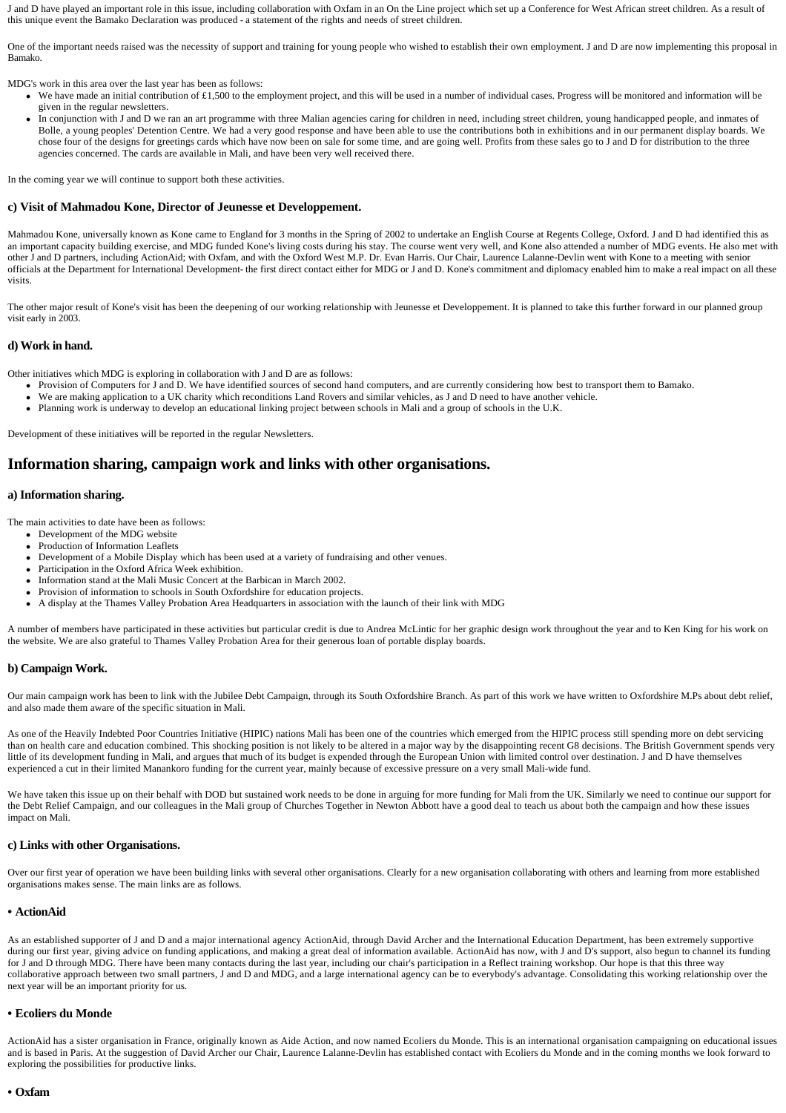J and D have played an important role in this issue, including collaboration with Oxfam in an On the Line project which set up a Conference for West African street children. As a result of this unique event the Bamako Declaration was produced - a statement of the rights and needs of street children.

One of the important needs raised was the necessity of support and training for young people who wished to establish their own employment. J and D are now implementing this proposal in Bamako.

MDG's work in this area over the last year has been as follows:

- We have made an initial contribution of £1,500 to the employment project, and this will be used in a number of individual cases. Progress will be monitored and information will be given in the regular newsletters.
- In conjunction with J and D we ran an art programme with three Malian agencies caring for children in need, including street children, young handicapped people, and inmates of Bolle, a young peoples' Detention Centre. We had a very good response and have been able to use the contributions both in exhibitions and in our permanent display boards. We chose four of the designs for greetings cards which have now been on sale for some time, and are going well. Profits from these sales go to J and D for distribution to the three agencies concerned. The cards are available in Mali, and have been very well received there.

In the coming year we will continue to support both these activities.

#### **c) Visit of Mahmadou Kone, Director of Jeunesse et Developpement.**

Mahmadou Kone, universally known as Kone came to England for 3 months in the Spring of 2002 to undertake an English Course at Regents College, Oxford. J and D had identified this as an important capacity building exercise, and MDG funded Kone's living costs during his stay. The course went very well, and Kone also attended a number of MDG events. He also met with other J and D partners, including ActionAid; with Oxfam, and with the Oxford West M.P. Dr. Evan Harris. Our Chair, Laurence Lalanne-Devlin went with Kone to a meeting with senior officials at the Department for International Development- the first direct contact either for MDG or J and D. Kone's commitment and diplomacy enabled him to make a real impact on all these visits.

The other major result of Kone's visit has been the deepening of our working relationship with Jeunesse et Developpement. It is planned to take this further forward in our planned group visit early in 2003.

#### **d) Work in hand.**

Other initiatives which MDG is exploring in collaboration with J and D are as follows:

- Provision of Computers for J and D. We have identified sources of second hand computers, and are currently considering how best to transport them to Bamako.
- We are making application to a UK charity which reconditions Land Rovers and similar vehicles, as J and D need to have another vehicle.
- Planning work is underway to develop an educational linking project between schools in Mali and a group of schools in the U.K.

Development of these initiatives will be reported in the regular Newsletters.

### **Information sharing, campaign work and links with other organisations.**

#### **a) Information sharing.**

The main activities to date have been as follows:

- Development of the MDG website
- Production of Information Leaflets
- <sup>l</sup> Development of a Mobile Display which has been used at a variety of fundraising and other venues.
- Participation in the Oxford Africa Week exhibition.
- Information stand at the Mali Music Concert at the Barbican in March 2002.
- Provision of information to schools in South Oxfordshire for education projects.
- <sup>l</sup> A display at the Thames Valley Probation Area Headquarters in association with the launch of their link with MDG

A number of members have participated in these activities but particular credit is due to Andrea McLintic for her graphic design work throughout the year and to Ken King for his work on the website. We are also grateful to Thames Valley Probation Area for their generous loan of portable display boards.

### **b) Campaign Work.**

Our main campaign work has been to link with the Jubilee Debt Campaign, through its South Oxfordshire Branch. As part of this work we have written to Oxfordshire M.Ps about debt relief, and also made them aware of the specific situation in Mali.

As one of the Heavily Indebted Poor Countries Initiative (HIPIC) nations Mali has been one of the countries which emerged from the HIPIC process still spending more on debt servicing than on health care and education combined. This shocking position is not likely to be altered in a major way by the disappointing recent G8 decisions. The British Government spends very little of its development funding in Mali, and argues that much of its budget is expended through the European Union with limited control over destination. J and D have themselves experienced a cut in their limited Manankoro funding for the current year, mainly because of excessive pressure on a very small Mali-wide fund.

We have taken this issue up on their behalf with DOD but sustained work needs to be done in arguing for more funding for Mali from the UK. Similarly we need to continue our support for the Debt Relief Campaign, and our colleagues in the Mali group of Churches Together in Newton Abbott have a good deal to teach us about both the campaign and how these issues impact on Mali.

#### **c) Links with other Organisations.**

Over our first year of operation we have been building links with several other organisations. Clearly for a new organisation collaborating with others and learning from more established organisations makes sense. The main links are as follows.

#### **• ActionAid**

As an established supporter of J and D and a major international agency ActionAid, through David Archer and the International Education Department, has been extremely supportive during our first year, giving advice on funding applications, and making a great deal of information available. ActionAid has now, with J and D's support, also begun to channel its funding for J and D through MDG. There have been many contacts during the last year, including our chair's participation in a Reflect training workshop. Our hope is that this three way collaborative approach between two small partners, J and D and MDG, and a large international agency can be to everybody's advantage. Consolidating this working relationship over the next year will be an important priority for us.

#### **• Ecoliers du Monde**

ActionAid has a sister organisation in France, originally known as Aide Action, and now named Ecoliers du Monde. This is an international organisation campaigning on educational issues and is based in Paris. At the suggestion of David Archer our Chair, Laurence Lalanne-Devlin has established contact with Ecoliers du Monde and in the coming months we look forward to exploring the possibilities for productive links.

#### **• Oxfam**